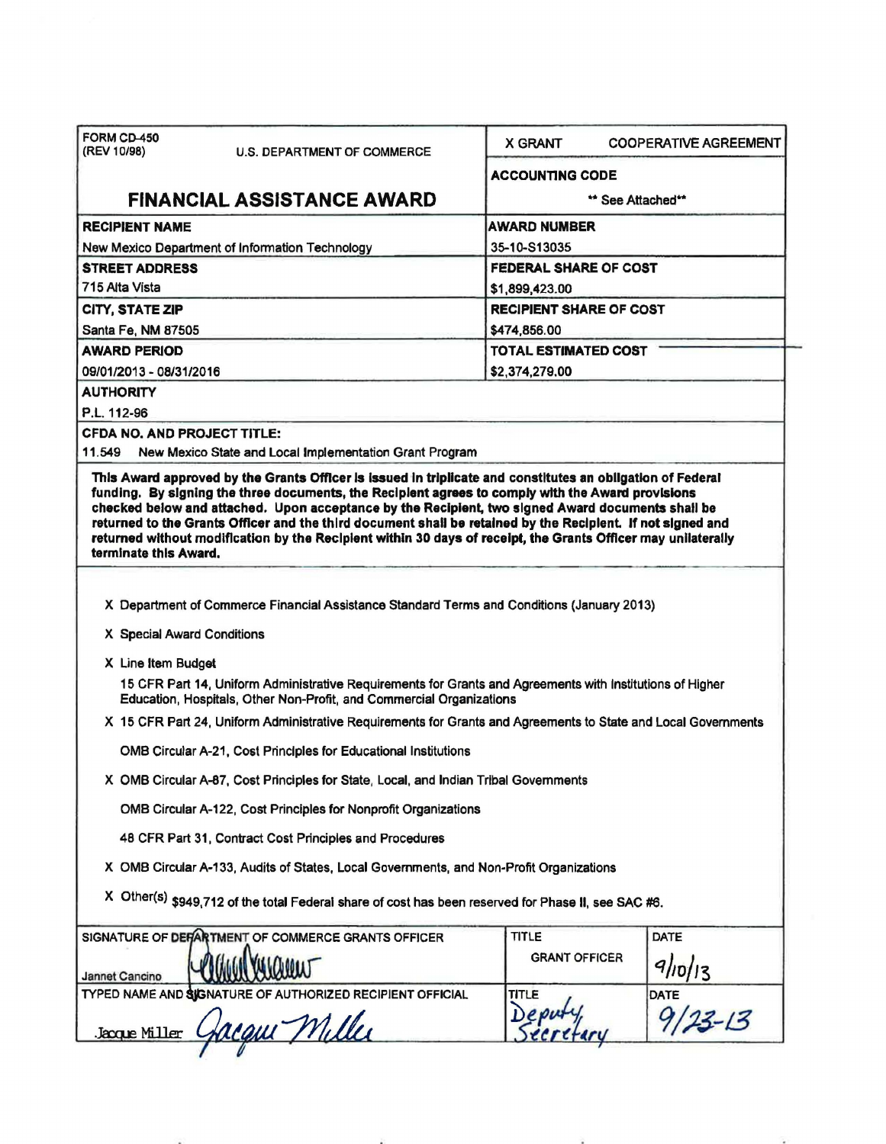| FORM CD-450<br>(REV 10/98)         | <b>U.S. DEPARTMENT OF COMMERCE</b>                                                                                                                                                | <b>X GRANT</b>                 | <b>COOPERATIVE AGREEMENT</b> |  |
|------------------------------------|-----------------------------------------------------------------------------------------------------------------------------------------------------------------------------------|--------------------------------|------------------------------|--|
|                                    |                                                                                                                                                                                   | <b>ACCOUNTING CODE</b>         |                              |  |
|                                    | <b>FINANCIAL ASSISTANCE AWARD</b>                                                                                                                                                 |                                | ** See Attached**            |  |
| <b>RECIPIENT NAME</b>              |                                                                                                                                                                                   | AWARD NUMBER                   |                              |  |
|                                    | New Mexico Department of Information Technology                                                                                                                                   | 35-10-S13035                   |                              |  |
| <b>STREET ADDRESS</b>              |                                                                                                                                                                                   | <b>FEDERAL SHARE OF COST</b>   |                              |  |
| 715 Alta Vista                     |                                                                                                                                                                                   | \$1,899,423.00                 |                              |  |
| <b>CITY, STATE ZIP</b>             |                                                                                                                                                                                   | <b>RECIPIENT SHARE OF COST</b> |                              |  |
| Santa Fe, NM 87505                 |                                                                                                                                                                                   | \$474,856.00                   |                              |  |
| <b>AWARD PERIOD</b>                |                                                                                                                                                                                   | <b>TOTAL ESTIMATED COST</b>    |                              |  |
| 09/01/2013 - 08/31/2016            |                                                                                                                                                                                   | \$2,374,279.00                 |                              |  |
| <b>AUTHORITY</b>                   |                                                                                                                                                                                   |                                |                              |  |
| P.L. 112-96                        |                                                                                                                                                                                   |                                |                              |  |
| <b>CFDA NO. AND PROJECT TITLE:</b> |                                                                                                                                                                                   |                                |                              |  |
| 11.549                             | New Mexico State and Local Implementation Grant Program                                                                                                                           |                                |                              |  |
| terminate this Award.              | returned without modification by the Recipient within 30 days of receipt, the Grants Officer may unilaterally                                                                     |                                |                              |  |
|                                    | X Department of Commerce Financial Assistance Standard Terms and Conditions (January 2013)                                                                                        |                                |                              |  |
| X Special Award Conditions         |                                                                                                                                                                                   |                                |                              |  |
| X Line Item Budget                 |                                                                                                                                                                                   |                                |                              |  |
|                                    | 15 CFR Part 14, Uniform Administrative Requirements for Grants and Agreements with Institutions of Higher<br>Education, Hospitals, Other Non-Profit, and Commercial Organizations |                                |                              |  |
|                                    | X 15 CFR Part 24, Uniform Administrative Requirements for Grants and Agreements to State and Local Governments                                                                    |                                |                              |  |
|                                    |                                                                                                                                                                                   |                                |                              |  |
|                                    | <b>OMB Circular A-21, Cost Principles for Educational Institutions</b>                                                                                                            |                                |                              |  |
|                                    | X OMB Circular A-87, Cost Principles for State, Local, and Indian Tribal Governments                                                                                              |                                |                              |  |
|                                    | OMB Circular A-122, Cost Principles for Nonprofit Organizations                                                                                                                   |                                |                              |  |
|                                    | 48 CFR Part 31, Contract Cost Principles and Procedures                                                                                                                           |                                |                              |  |
|                                    | X OMB Circular A-133, Audits of States, Local Governments, and Non-Profit Organizations                                                                                           |                                |                              |  |
|                                    | X Other(s) \$949,712 of the total Federal share of cost has been reserved for Phase II, see SAC #6.                                                                               |                                |                              |  |
|                                    | SIGNATURE OF DEFARTMENT OF COMMERCE GRANTS OFFICER                                                                                                                                | <b>TITLE</b>                   | <b>DATE</b>                  |  |
|                                    |                                                                                                                                                                                   | <b>GRANT OFFICER</b>           |                              |  |
| Jannet Cancino                     | TYPED NAME AND SIGNATURE OF AUTHORIZED RECIPIENT OFFICIAL                                                                                                                         | <b>TITLE</b>                   | 9/10/13<br>DATE              |  |
| Jacque Miller                      | cam Miller                                                                                                                                                                        |                                |                              |  |